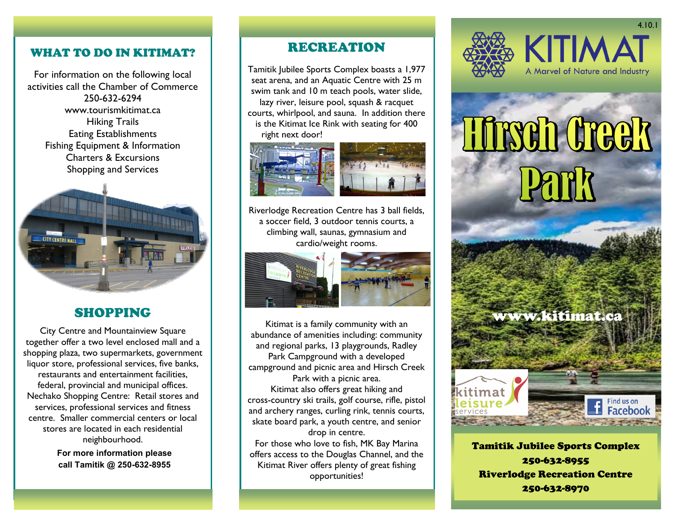### WHAT TO DO IN KITIMAT?

For information on the following local activities call the Chamber of Commerce 250-632-6294 www.tourismkitimat.ca Hiking Trails Eating Establishments Fishing Equipment & Information Charters & Excursions Shopping and Services



### SHOPPING

City Centre and Mountainview Square together offer a two level enclosed mall and a shopping plaza, two supermarkets, government liquor store, professional services, five banks, restaurants and entertainment facilities, federal, provincial and municipal offices. Nechako Shopping Centre: Retail stores and services, professional services and fitness centre. Smaller commercial centers or local stores are located in each residential neighbourhood.

> **For more information please call Tamitik @ 250-632-8955**

### RECREATION

Tamitik Jubilee Sports Complex boasts a 1,977 seat arena, and an Aquatic Centre with 25 m swim tank and 10 m teach pools, water slide, lazy river, leisure pool, squash & racquet courts, whirlpool, and sauna. In addition there is the Kitimat Ice Rink with seating for 400 right next door!





Riverlodge Recreation Centre has 3 ball fields, a soccer field, 3 outdoor tennis courts, a climbing wall, saunas, gymnasium and cardio/weight rooms.



Kitimat is a family community with an abundance of amenities including: community and regional parks, 13 playgrounds, Radley Park Campground with a developed campground and picnic area and Hirsch Creek Park with a picnic area. Kitimat also offers great hiking and cross-country ski trails, golf course, rifle, pistol and archery ranges, curling rink, tennis courts, skate board park, a youth centre, and senior drop in centre. For those who love to fish, MK Bay Marina offers access to the Douglas Channel, and the Kitimat River offers plenty of great fishing

opportunities!



Tirseh Greek

# www.kitimat.ca

Tamitik Jubilee Sports Complex



Tamitik Jubilee Sports Complex 250-632-8955 Riverlodge Recreation Centre 250-632-8970